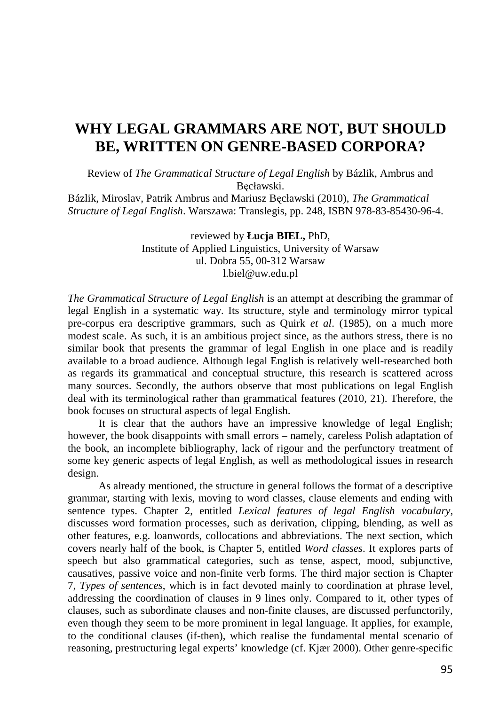## **WHY LEGAL GRAMMARS ARE NOT, BUT SHOULD BE, WRITTEN ON GENRE-BASED CORPORA?**

Review of *The Grammatical Structure of Legal English* by Bázlik, Ambrus and Bęcławski.

Bázlik, Miroslav, Patrik Ambrus and Mariusz Bęcławski (2010), *The Grammatical Structure of Legal English*. Warszawa: Translegis, pp. 248, ISBN 978-83-85430-96-4.

> reviewed by **Łucja BIEL,** PhD, Institute of Applied Linguistics, University of Warsaw ul. Dobra 55, 00-312 Warsaw l.biel@uw.edu.pl

*The Grammatical Structure of Legal English* is an attempt at describing the grammar of legal English in a systematic way. Its structure, style and terminology mirror typical pre-corpus era descriptive grammars, such as Quirk *et al*. (1985), on a much more modest scale. As such, it is an ambitious project since, as the authors stress, there is no similar book that presents the grammar of legal English in one place and is readily available to a broad audience. Although legal English is relatively well-researched both as regards its grammatical and conceptual structure, this research is scattered across many sources. Secondly, the authors observe that most publications on legal English deal with its terminological rather than grammatical features (2010, 21). Therefore, the book focuses on structural aspects of legal English.

It is clear that the authors have an impressive knowledge of legal English; however, the book disappoints with small errors – namely, careless Polish adaptation of the book, an incomplete bibliography, lack of rigour and the perfunctory treatment of some key generic aspects of legal English, as well as methodological issues in research design.

As already mentioned, the structure in general follows the format of a descriptive grammar, starting with lexis, moving to word classes, clause elements and ending with sentence types. Chapter 2, entitled *Lexical features of legal English vocabulary*, discusses word formation processes, such as derivation, clipping, blending, as well as other features, e.g. loanwords, collocations and abbreviations. The next section, which covers nearly half of the book, is Chapter 5, entitled *Word classes*. It explores parts of speech but also grammatical categories, such as tense, aspect, mood, subjunctive, causatives, passive voice and non-finite verb forms. The third major section is Chapter 7, *Types of sentences*, which is in fact devoted mainly to coordination at phrase level, addressing the coordination of clauses in 9 lines only. Compared to it, other types of clauses, such as subordinate clauses and non-finite clauses, are discussed perfunctorily, even though they seem to be more prominent in legal language. It applies, for example, to the conditional clauses (if-then), which realise the fundamental mental scenario of reasoning, prestructuring legal experts' knowledge (cf. Kjær 2000). Other genre-specific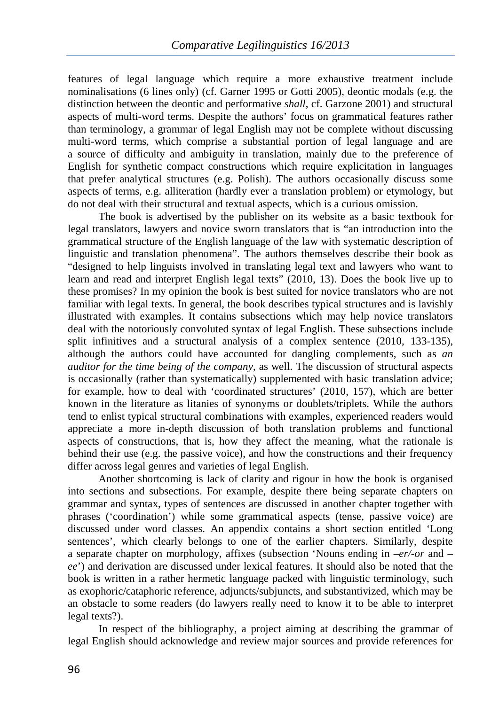features of legal language which require a more exhaustive treatment include nominalisations (6 lines only) (cf. Garner 1995 or Gotti 2005), deontic modals (e.g. the distinction between the deontic and performative *shall*, cf. Garzone 2001) and structural aspects of multi-word terms. Despite the authors' focus on grammatical features rather than terminology, a grammar of legal English may not be complete without discussing multi-word terms, which comprise a substantial portion of legal language and are a source of difficulty and ambiguity in translation, mainly due to the preference of English for synthetic compact constructions which require explicitation in languages that prefer analytical structures (e.g. Polish). The authors occasionally discuss some aspects of terms, e.g. alliteration (hardly ever a translation problem) or etymology, but do not deal with their structural and textual aspects, which is a curious omission.

The book is advertised by the publisher on its website as a basic textbook for legal translators, lawyers and novice sworn translators that is "an introduction into the grammatical structure of the English language of the law with systematic description of linguistic and translation phenomena". The authors themselves describe their book as "designed to help linguists involved in translating legal text and lawyers who want to learn and read and interpret English legal texts" (2010, 13). Does the book live up to these promises? In my opinion the book is best suited for novice translators who are not familiar with legal texts. In general, the book describes typical structures and is lavishly illustrated with examples. It contains subsections which may help novice translators deal with the notoriously convoluted syntax of legal English. These subsections include split infinitives and a structural analysis of a complex sentence (2010, 133-135), although the authors could have accounted for dangling complements, such as *an auditor for the time being of the company*, as well. The discussion of structural aspects is occasionally (rather than systematically) supplemented with basic translation advice; for example, how to deal with 'coordinated structures' (2010, 157), which are better known in the literature as litanies of synonyms or doublets/triplets. While the authors tend to enlist typical structural combinations with examples, experienced readers would appreciate a more in-depth discussion of both translation problems and functional aspects of constructions, that is, how they affect the meaning, what the rationale is behind their use (e.g. the passive voice), and how the constructions and their frequency differ across legal genres and varieties of legal English.

Another shortcoming is lack of clarity and rigour in how the book is organised into sections and subsections. For example, despite there being separate chapters on grammar and syntax, types of sentences are discussed in another chapter together with phrases ('coordination') while some grammatical aspects (tense, passive voice) are discussed under word classes. An appendix contains a short section entitled 'Long sentences', which clearly belongs to one of the earlier chapters. Similarly, despite a separate chapter on morphology, affixes (subsection 'Nouns ending in *–er/-or* and – *ee*') and derivation are discussed under lexical features. It should also be noted that the book is written in a rather hermetic language packed with linguistic terminology, such as exophoric/cataphoric reference, adjuncts/subjuncts, and substantivized, which may be an obstacle to some readers (do lawyers really need to know it to be able to interpret legal texts?).

In respect of the bibliography, a project aiming at describing the grammar of legal English should acknowledge and review major sources and provide references for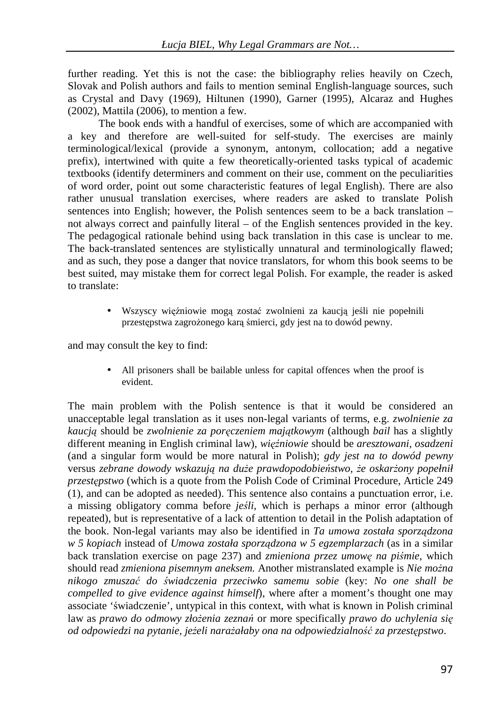further reading. Yet this is not the case: the bibliography relies heavily on Czech, Slovak and Polish authors and fails to mention seminal English-language sources, such as Crystal and Davy (1969), Hiltunen (1990), Garner (1995), Alcaraz and Hughes (2002), Mattila (2006), to mention a few.

The book ends with a handful of exercises, some of which are accompanied with a key and therefore are well-suited for self-study. The exercises are mainly terminological/lexical (provide a synonym, antonym, collocation; add a negative prefix), intertwined with quite a few theoretically-oriented tasks typical of academic textbooks (identify determiners and comment on their use, comment on the peculiarities of word order, point out some characteristic features of legal English). There are also rather unusual translation exercises, where readers are asked to translate Polish sentences into English; however, the Polish sentences seem to be a back translation – not always correct and painfully literal – of the English sentences provided in the key. The pedagogical rationale behind using back translation in this case is unclear to me. The back-translated sentences are stylistically unnatural and terminologically flawed; and as such, they pose a danger that novice translators, for whom this book seems to be best suited, may mistake them for correct legal Polish. For example, the reader is asked to translate:

> • Wszyscy więźniowie mogą zostać zwolnieni za kaucją jeśli nie popełnili przestępstwa zagrożonego karą śmierci, gdy jest na to dowód pewny.

and may consult the key to find:

• All prisoners shall be bailable unless for capital offences when the proof is evident.

The main problem with the Polish sentence is that it would be considered an unacceptable legal translation as it uses non-legal variants of terms, e.g. *zwolnienie za kaucją* should be *zwolnienie za poręczeniem majątkowym* (although *bail* has a slightly different meaning in English criminal law)*, więźniowie* should be *aresztowani, osadzeni* (and a singular form would be more natural in Polish); *gdy jest na to dowód pewny* versus *zebrane dowody wskazują na duże prawdopodobieństwo, że oskarżony popełnił przestępstwo* (which is a quote from the Polish Code of Criminal Procedure, Article 249 (1), and can be adopted as needed). This sentence also contains a punctuation error, i.e. a missing obligatory comma before *jeśli*, which is perhaps a minor error (although repeated), but is representative of a lack of attention to detail in the Polish adaptation of the book. Non-legal variants may also be identified in *Ta umowa została sporządzona w 5 kopiach* instead of *Umowa została sporządzona w 5 egzemplarzach* (as in a similar back translation exercise on page 237) and *zmieniona przez umowę na piśmie*, which should read *zmieniona pisemnym aneksem.* Another mistranslated example is *Nie można nikogo zmuszać do świadczenia przeciwko samemu sobie* (key: *No one shall be compelled to give evidence against himself*), where after a moment's thought one may associate 'świadczenie', untypical in this context, with what is known in Polish criminal law as *prawo do odmowy złożenia zeznań* or more specifically *prawo do uchylenia się od odpowiedzi na pytanie, jeżeli narażałaby ona na odpowiedzialność za przestępstwo*.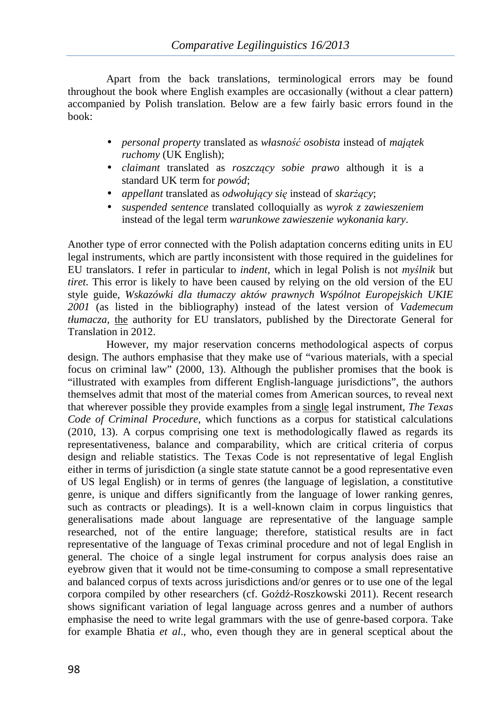Apart from the back translations, terminological errors may be found throughout the book where English examples are occasionally (without a clear pattern) accompanied by Polish translation. Below are a few fairly basic errors found in the book:

- *personal property* translated as *własność osobista* instead of *majątek ruchomy* (UK English);
- *claimant* translated as *roszczący sobie prawo* although it is a standard UK term for *powód*;
- *appellant* translated as *odwołujący się* instead of *skarżący*;
- *suspended sentence* translated colloquially as *wyrok z zawieszeniem* instead of the legal term *warunkowe zawieszenie wykonania kary*.

Another type of error connected with the Polish adaptation concerns editing units in EU legal instruments, which are partly inconsistent with those required in the guidelines for EU translators. I refer in particular to *indent,* which in legal Polish is not *myślnik* but *tiret*. This error is likely to have been caused by relying on the old version of the EU style guide, *Wskazówki dla tłumaczy aktów prawnych Wspólnot Europejskich UKIE 2001* (as listed in the bibliography) instead of the latest version of *Vademecum tłumacza*, the authority for EU translators, published by the Directorate General for Translation in 2012.

However, my major reservation concerns methodological aspects of corpus design. The authors emphasise that they make use of "various materials, with a special focus on criminal law" (2000, 13). Although the publisher promises that the book is "illustrated with examples from different English-language jurisdictions", the authors themselves admit that most of the material comes from American sources, to reveal next that wherever possible they provide examples from a single legal instrument, *The Texas Code of Criminal Procedure*, which functions as a corpus for statistical calculations (2010, 13). A corpus comprising one text is methodologically flawed as regards its representativeness, balance and comparability, which are critical criteria of corpus design and reliable statistics. The Texas Code is not representative of legal English either in terms of jurisdiction (a single state statute cannot be a good representative even of US legal English) or in terms of genres (the language of legislation, a constitutive genre, is unique and differs significantly from the language of lower ranking genres, such as contracts or pleadings). It is a well-known claim in corpus linguistics that generalisations made about language are representative of the language sample researched, not of the entire language; therefore, statistical results are in fact representative of the language of Texas criminal procedure and not of legal English in general. The choice of a single legal instrument for corpus analysis does raise an eyebrow given that it would not be time-consuming to compose a small representative and balanced corpus of texts across jurisdictions and/or genres or to use one of the legal corpora compiled by other researchers (cf. Goźdź-Roszkowski 2011). Recent research shows significant variation of legal language across genres and a number of authors emphasise the need to write legal grammars with the use of genre-based corpora. Take for example Bhatia *et al*., who, even though they are in general sceptical about the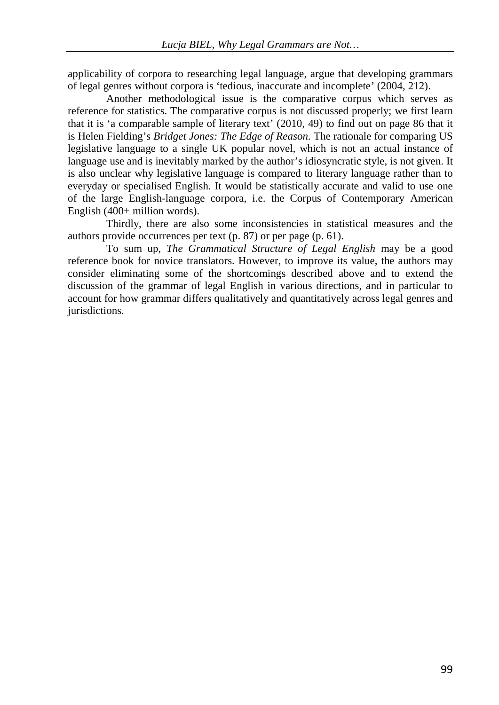applicability of corpora to researching legal language, argue that developing grammars of legal genres without corpora is 'tedious, inaccurate and incomplete' (2004, 212).

Another methodological issue is the comparative corpus which serves as reference for statistics. The comparative corpus is not discussed properly; we first learn that it is 'a comparable sample of literary text' (2010, 49) to find out on page 86 that it is Helen Fielding's *Bridget Jones: The Edge of Reason.* The rationale for comparing US legislative language to a single UK popular novel, which is not an actual instance of language use and is inevitably marked by the author's idiosyncratic style, is not given. It is also unclear why legislative language is compared to literary language rather than to everyday or specialised English. It would be statistically accurate and valid to use one of the large English-language corpora, i.e. the Corpus of Contemporary American English (400+ million words).

Thirdly, there are also some inconsistencies in statistical measures and the authors provide occurrences per text (p. 87) or per page (p. 61).

To sum up, *The Grammatical Structure of Legal English* may be a good reference book for novice translators. However, to improve its value, the authors may consider eliminating some of the shortcomings described above and to extend the discussion of the grammar of legal English in various directions, and in particular to account for how grammar differs qualitatively and quantitatively across legal genres and jurisdictions.